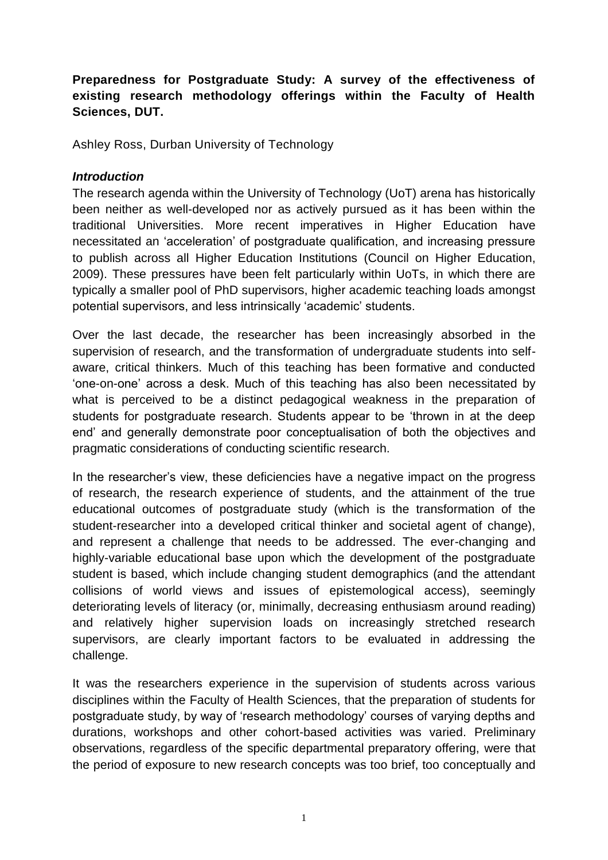# **Preparedness for Postgraduate Study: A survey of the effectiveness of existing research methodology offerings within the Faculty of Health Sciences, DUT.**

Ashley Ross, Durban University of Technology

### *Introduction*

The research agenda within the University of Technology (UoT) arena has historically been neither as well-developed nor as actively pursued as it has been within the traditional Universities. More recent imperatives in Higher Education have necessitated an 'acceleration' of postgraduate qualification, and increasing pressure to publish across all Higher Education Institutions (Council on Higher Education, 2009). These pressures have been felt particularly within UoTs, in which there are typically a smaller pool of PhD supervisors, higher academic teaching loads amongst potential supervisors, and less intrinsically 'academic' students.

Over the last decade, the researcher has been increasingly absorbed in the supervision of research, and the transformation of undergraduate students into selfaware, critical thinkers. Much of this teaching has been formative and conducted 'one-on-one' across a desk. Much of this teaching has also been necessitated by what is perceived to be a distinct pedagogical weakness in the preparation of students for postgraduate research. Students appear to be 'thrown in at the deep end' and generally demonstrate poor conceptualisation of both the objectives and pragmatic considerations of conducting scientific research.

In the researcher's view, these deficiencies have a negative impact on the progress of research, the research experience of students, and the attainment of the true educational outcomes of postgraduate study (which is the transformation of the student-researcher into a developed critical thinker and societal agent of change), and represent a challenge that needs to be addressed. The ever-changing and highly-variable educational base upon which the development of the postgraduate student is based, which include changing student demographics (and the attendant collisions of world views and issues of epistemological access), seemingly deteriorating levels of literacy (or, minimally, decreasing enthusiasm around reading) and relatively higher supervision loads on increasingly stretched research supervisors, are clearly important factors to be evaluated in addressing the challenge.

It was the researchers experience in the supervision of students across various disciplines within the Faculty of Health Sciences, that the preparation of students for postgraduate study, by way of 'research methodology' courses of varying depths and durations, workshops and other cohort-based activities was varied. Preliminary observations, regardless of the specific departmental preparatory offering, were that the period of exposure to new research concepts was too brief, too conceptually and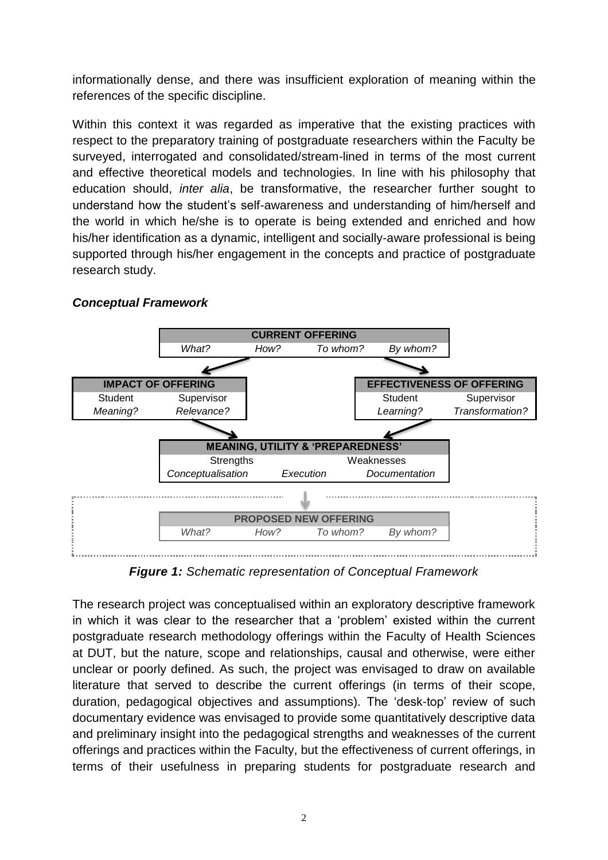informationally dense, and there was insufficient exploration of meaning within the references of the specific discipline.

Within this context it was regarded as imperative that the existing practices with respect to the preparatory training of postgraduate researchers within the Faculty be surveyed, interrogated and consolidated/stream-lined in terms of the most current and effective theoretical models and technologies. In line with his philosophy that education should, *inter alia*, be transformative, the researcher further sought to understand how the student's self-awareness and understanding of him/herself and the world in which he/she is to operate is being extended and enriched and how his/her identification as a dynamic, intelligent and socially-aware professional is being supported through his/her engagement in the concepts and practice of postgraduate research study.



### *Conceptual Framework*

*Figure 1: Schematic representation of Conceptual Framework*

The research project was conceptualised within an exploratory descriptive framework in which it was clear to the researcher that a 'problem' existed within the current postgraduate research methodology offerings within the Faculty of Health Sciences at DUT, but the nature, scope and relationships, causal and otherwise, were either unclear or poorly defined. As such, the project was envisaged to draw on available literature that served to describe the current offerings (in terms of their scope, duration, pedagogical objectives and assumptions). The 'desk-top' review of such documentary evidence was envisaged to provide some quantitatively descriptive data and preliminary insight into the pedagogical strengths and weaknesses of the current offerings and practices within the Faculty, but the effectiveness of current offerings, in terms of their usefulness in preparing students for postgraduate research and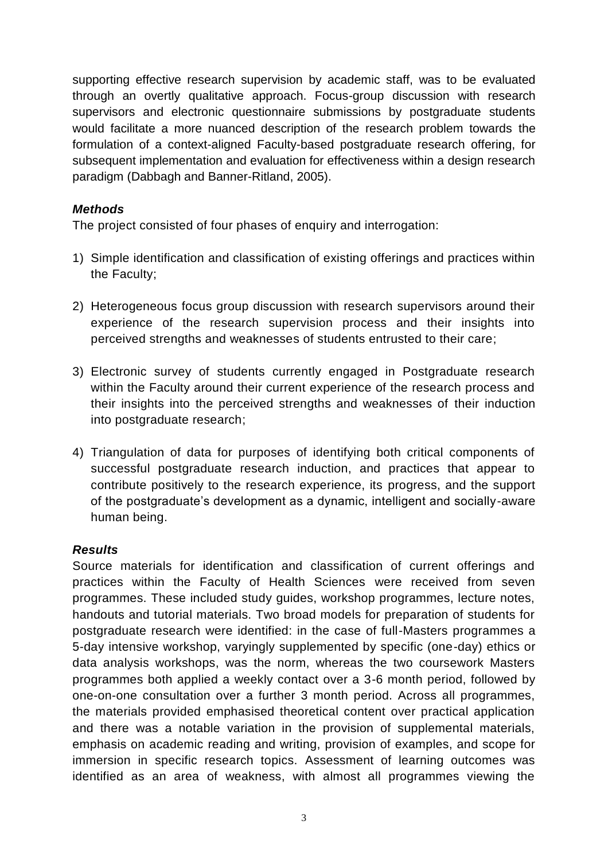supporting effective research supervision by academic staff, was to be evaluated through an overtly qualitative approach. Focus-group discussion with research supervisors and electronic questionnaire submissions by postgraduate students would facilitate a more nuanced description of the research problem towards the formulation of a context-aligned Faculty-based postgraduate research offering, for subsequent implementation and evaluation for effectiveness within a design research paradigm (Dabbagh and Banner-Ritland, 2005).

## *Methods*

The project consisted of four phases of enquiry and interrogation:

- 1) Simple identification and classification of existing offerings and practices within the Faculty;
- 2) Heterogeneous focus group discussion with research supervisors around their experience of the research supervision process and their insights into perceived strengths and weaknesses of students entrusted to their care;
- 3) Electronic survey of students currently engaged in Postgraduate research within the Faculty around their current experience of the research process and their insights into the perceived strengths and weaknesses of their induction into postgraduate research;
- 4) Triangulation of data for purposes of identifying both critical components of successful postgraduate research induction, and practices that appear to contribute positively to the research experience, its progress, and the support of the postgraduate's development as a dynamic, intelligent and socially-aware human being.

### *Results*

Source materials for identification and classification of current offerings and practices within the Faculty of Health Sciences were received from seven programmes. These included study guides, workshop programmes, lecture notes, handouts and tutorial materials. Two broad models for preparation of students for postgraduate research were identified: in the case of full-Masters programmes a 5-day intensive workshop, varyingly supplemented by specific (one-day) ethics or data analysis workshops, was the norm, whereas the two coursework Masters programmes both applied a weekly contact over a 3-6 month period, followed by one-on-one consultation over a further 3 month period. Across all programmes, the materials provided emphasised theoretical content over practical application and there was a notable variation in the provision of supplemental materials, emphasis on academic reading and writing, provision of examples, and scope for immersion in specific research topics. Assessment of learning outcomes was identified as an area of weakness, with almost all programmes viewing the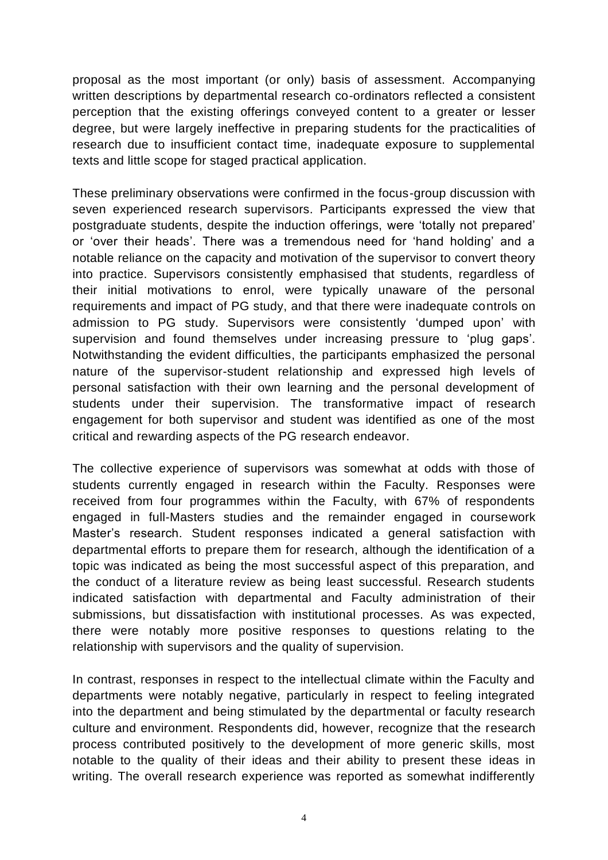proposal as the most important (or only) basis of assessment. Accompanying written descriptions by departmental research co-ordinators reflected a consistent perception that the existing offerings conveyed content to a greater or lesser degree, but were largely ineffective in preparing students for the practicalities of research due to insufficient contact time, inadequate exposure to supplemental texts and little scope for staged practical application.

These preliminary observations were confirmed in the focus-group discussion with seven experienced research supervisors. Participants expressed the view that postgraduate students, despite the induction offerings, were 'totally not prepared' or 'over their heads'. There was a tremendous need for 'hand holding' and a notable reliance on the capacity and motivation of the supervisor to convert theory into practice. Supervisors consistently emphasised that students, regardless of their initial motivations to enrol, were typically unaware of the personal requirements and impact of PG study, and that there were inadequate controls on admission to PG study. Supervisors were consistently 'dumped upon' with supervision and found themselves under increasing pressure to 'plug gaps'. Notwithstanding the evident difficulties, the participants emphasized the personal nature of the supervisor-student relationship and expressed high levels of personal satisfaction with their own learning and the personal development of students under their supervision. The transformative impact of research engagement for both supervisor and student was identified as one of the most critical and rewarding aspects of the PG research endeavor.

The collective experience of supervisors was somewhat at odds with those of students currently engaged in research within the Faculty. Responses were received from four programmes within the Faculty, with 67% of respondents engaged in full-Masters studies and the remainder engaged in coursework Master's research. Student responses indicated a general satisfaction with departmental efforts to prepare them for research, although the identification of a topic was indicated as being the most successful aspect of this preparation, and the conduct of a literature review as being least successful. Research students indicated satisfaction with departmental and Faculty administration of their submissions, but dissatisfaction with institutional processes. As was expected, there were notably more positive responses to questions relating to the relationship with supervisors and the quality of supervision.

In contrast, responses in respect to the intellectual climate within the Faculty and departments were notably negative, particularly in respect to feeling integrated into the department and being stimulated by the departmental or faculty research culture and environment. Respondents did, however, recognize that the research process contributed positively to the development of more generic skills, most notable to the quality of their ideas and their ability to present these ideas in writing. The overall research experience was reported as somewhat indifferently